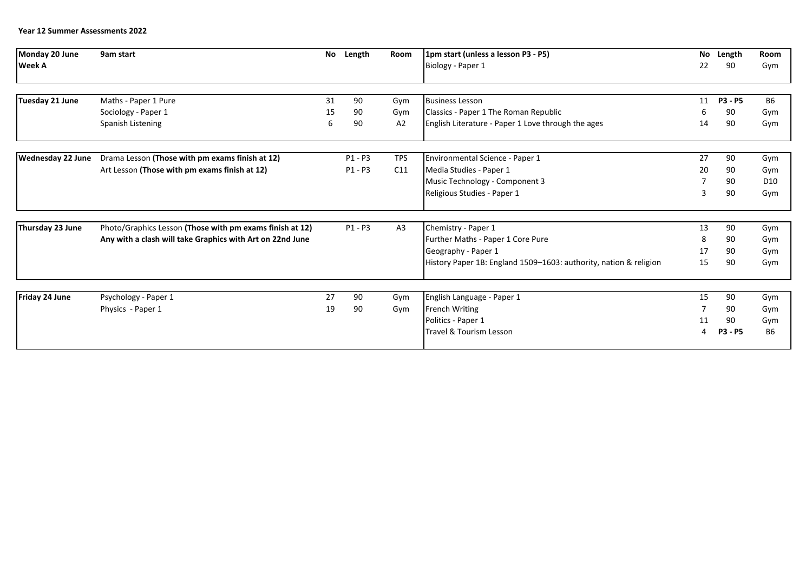## **Year 12 Summer Assessments 2022**

| Monday 20 June           | 9am start                                                 | No | Length    | Room           | 1pm start (unless a lesson P3 - P5)                               |    | No Length      | <b>Room</b>     |
|--------------------------|-----------------------------------------------------------|----|-----------|----------------|-------------------------------------------------------------------|----|----------------|-----------------|
| <b>Week A</b>            |                                                           |    |           |                | Biology - Paper 1                                                 | 22 | 90             | Gym             |
|                          |                                                           |    |           |                |                                                                   |    |                |                 |
| Tuesday 21 June          | Maths - Paper 1 Pure                                      | 31 | 90        | Gym            | <b>Business Lesson</b>                                            | 11 | <b>P3 - P5</b> | <b>B6</b>       |
|                          | Sociology - Paper 1                                       | 15 | 90        | Gym            | Classics - Paper 1 The Roman Republic                             |    | 90             | Gym             |
|                          | Spanish Listening                                         | 6  | 90        | A2             | English Literature - Paper 1 Love through the ages                | 14 | 90             | Gym             |
|                          |                                                           |    |           |                |                                                                   |    |                |                 |
| <b>Wednesday 22 June</b> | Drama Lesson (Those with pm exams finish at 12)           |    | $P1 - P3$ | <b>TPS</b>     | Environmental Science - Paper 1                                   | 27 | 90             | Gym             |
|                          | Art Lesson (Those with pm exams finish at 12)             |    | $P1 - P3$ | C11            | Media Studies - Paper 1                                           | 20 | 90             | Gym             |
|                          |                                                           |    |           |                | Music Technology - Component 3                                    |    | 90             | D <sub>10</sub> |
|                          |                                                           |    |           |                | Religious Studies - Paper 1                                       | 3  | 90             | Gym             |
|                          |                                                           |    |           |                |                                                                   |    |                |                 |
| Thursday 23 June         | Photo/Graphics Lesson (Those with pm exams finish at 12)  |    | $P1 - P3$ | A <sub>3</sub> | Chemistry - Paper 1                                               | 13 | 90             | Gym             |
|                          | Any with a clash will take Graphics with Art on 22nd June |    |           |                | Further Maths - Paper 1 Core Pure                                 | 8  | 90             | Gym             |
|                          |                                                           |    |           |                | Geography - Paper 1                                               | 17 | 90             | Gym             |
|                          |                                                           |    |           |                | History Paper 1B: England 1509-1603: authority, nation & religion | 15 | 90             | Gym             |
|                          |                                                           |    |           |                |                                                                   |    |                |                 |
| Friday 24 June           | Psychology - Paper 1                                      | 27 | 90        | Gym            | English Language - Paper 1                                        | 15 | 90             | Gym             |
|                          | Physics - Paper 1                                         | 19 | 90        | Gym            | <b>French Writing</b>                                             |    | 90             | Gym             |
|                          |                                                           |    |           |                | Politics - Paper 1                                                | 11 | 90             | Gym             |
|                          |                                                           |    |           |                | <b>Travel &amp; Tourism Lesson</b>                                |    | P3 - P5        | <b>B6</b>       |